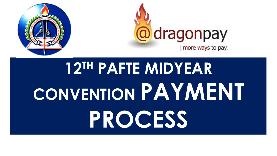



# **12TH PAFTE MIDYEAR CONVENTION PAYMENT PROCESS**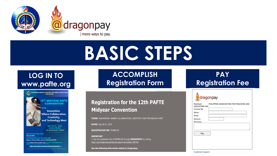

# **BASIC STEPS**

#### **LOG IN TO www.pafte.org**



Visit https://www.pafte.org/ for more informa

**PRC CPD UNITS: APPLICATION IN PROCESS** 

**ACCOMPLISH Registration Form**

#### **Registration for the 12th PAFTE Midyear Convention**

THEME: INNOVATION: WHERE COLLABORATION, CREATIVITY, AND TECHNOLOGY MEET

**DATES: May 20-21, 2022** 

**REGISTRATION FEE: PhP600.00** 

**IMPORTANT:** 1. Pay the registration fee of PhP600.00 through DRAGONPAY by clicking https://gw.dragonpay.ph/GenPay.aspx?merchantid=PAFTEI

Use the following information asked by Dragonpay:

| PAY                     |  |
|-------------------------|--|
| <b>Registration Fee</b> |  |

 $\blacktriangle$ 

| Merchant<br>EDUCATORS INC. | PHILIPPINE ASSOCIATION FOR TEACHERS AND |
|----------------------------|-----------------------------------------|
| Invoice No                 |                                         |
| Name                       |                                         |
| Email                      |                                         |
| Amount                     |                                         |
| Remarks                    |                                         |
| Pay                        |                                         |
|                            |                                         |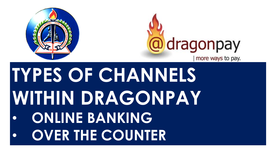



# **TYPES OF CHANNELS WITHIN DRAGONPAY** • **ONLINE BANKING**  • **OVER THE COUNTER**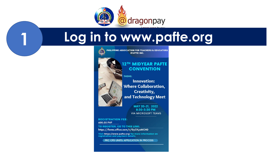

#### Log in to www.pafte.org



(PAFTE) INC.

PHILIPPINE ASSOCIATION FOR TEACHERS & EDUCATORS

#### 12<sup>TH</sup> MIDYEAR PAFTE **CONVENTION**

THEME:

**Innovation:** Where Collaboration, **Creativity,** and Technology Meet

> MAY 20-21, 2022 8:30-5:30 PM **VIA MICROSOFT TEAMS**

**REGISTRATION FEE:** 600.00 PHP

**TO REGISTER, GO TO THIS LINK:** https://forms.office.com/r/GyCKyuMCHD

Visit https://www.pafte.org/ for more information on registration and payment details.

**PRC CPD UNITS: APPLICATION IN PROCESS**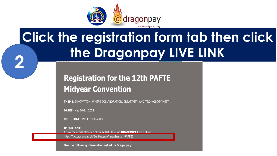

## **Click the registration form tab then click** the Dragonpay LIVE LINK

#### **Registration for the 12th PAFTE Midyear Convention**

**THEME: INNOVATION: WHERE COLLABORATION, CREATIVITY, AND TECHNOLOGY MEET** 

**DATES: May 20-21, 2022** 

**REGISTRATION FEE: PhP600.00** 

**IMPORTANT:** 

1. Pay the registration fee of PhP600.00 through **DRAGONPAY** by clicking

https://gw.dragonpay.ph/GenPay.aspx?merchantid=PAFTEI

Use the following information asked by Dragonpay: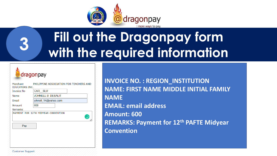

### **Fill out the Dragonpay form with the required information 3**

dragonpay

| Merchant<br><b>EDUCATORS INC.</b>   | PHILIPPINE ASSOCIATION FOR TEACHERS AND |  |  |  |  |  |
|-------------------------------------|-----------------------------------------|--|--|--|--|--|
| Invoice No                          | CAR SLU                                 |  |  |  |  |  |
| Name                                | <b>JOHNELL B DESALIT</b>                |  |  |  |  |  |
| Email                               | johnell_14@yahoo.com                    |  |  |  |  |  |
| Amount                              | 600                                     |  |  |  |  |  |
| Remarks                             |                                         |  |  |  |  |  |
| PAYMENT FOR 12TH MIDYEAR CONVENTION |                                         |  |  |  |  |  |
| Pay                                 |                                         |  |  |  |  |  |
|                                     |                                         |  |  |  |  |  |
|                                     |                                         |  |  |  |  |  |
|                                     |                                         |  |  |  |  |  |
|                                     |                                         |  |  |  |  |  |

**INVOICE NO. : REGION\_INSTITUTION NAME: FIRST NAME MIDDLE INITIAL FAMILY NAME EMAIL: email address Amount: 600 REMARKS: Payment for 12th PAFTE Midyear Convention**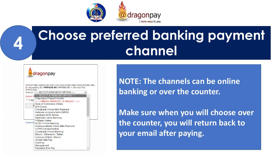

### **Choose preferred banking payment 4** Choose preferred burnel



**NOTE: The channels can be online banking or over the counter.** 

**Make sure when you will choose over the counter, you will return back to your email after paying.**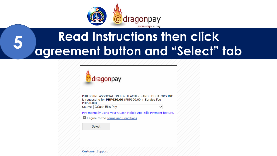

#### **Read Instructions then click** 5 agreement button and "Select" tab



PHILIPPINE ASSOCIATION FOR TEACHERS AND EDUCATORS INC. is requesting for  $PHP620.00$  (PHP600.00 + Service Fee PHP20.00)

Source GCash Bills Pay

Pay manually using your GCash Mobile App Bills Payment feature.

I agree to the Terms and Conditions

Select

**Customer Support**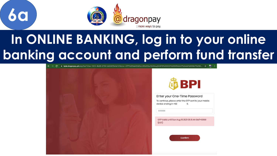

## In ONLINE BANKING, log in to your online banking account and perform fund transfer







Enter your One-Time Password

To continue, please enter the OTP sent to your mobile  $\alpha$ 

OTP Valid until Sun Aug 15 2021 09:31:44 GMT+0800

Confirm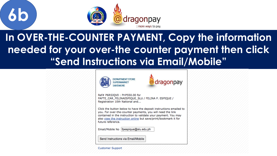

**6b**

#### **In OVER-THE-COUNTER PAYMENT, Copy the information needed for your over-the counter payment then click "Send Instructions via Email/Mobile"**

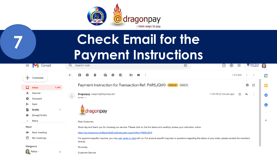

**7**

### **Check Email for the Payment Instructions**

| $\equiv$     | Gmail                   |       | Q                                                                                                                                                                                             | Search mail                                                                                                                   | 亞                    | ◎<br>දඉ                  | 88         |   | <b>EXAMPLE DELIS</b><br>UNIVERSITY |              |
|--------------|-------------------------|-------|-----------------------------------------------------------------------------------------------------------------------------------------------------------------------------------------------|-------------------------------------------------------------------------------------------------------------------------------|----------------------|--------------------------|------------|---|------------------------------------|--------------|
|              | Compose                 |       | $\leftarrow$                                                                                                                                                                                  | $\mathcal{A}$<br>r<br>ь<br>❶<br>$\bullet$<br>$\blacksquare$<br>o                                                              | $\ddot{\phantom{1}}$ |                          | 1 of 9,320 |   | ⇒                                  | $\boxed{31}$ |
| Ω            | <b>Inbox</b>            | 1,465 |                                                                                                                                                                                               | Payment Instruction for Transaction Ref: P6R5JQVO (External Inbox x)                                                          |                      |                          |            | ē | Ø                                  | O            |
| ★<br>O       | Starred<br>Snoozed      |       | $\stackrel{0}{-}$                                                                                                                                                                             | Dragonpay <support@dragonpay.ph><br/>to me <math>\sim</math></support@dragonpay.ph>                                           |                      | 11:48 PM (0 minutes ago) | ☆          | ຣ | $\ddot{\phantom{a}}$               | $\bullet$    |
| ►            | Sent                    | 3     |                                                                                                                                                                                               |                                                                                                                               |                      |                          |            |   |                                    | Θ            |
|              | Drafts<br>[Imap]/Drafts |       |                                                                                                                                                                                               | dragonpay                                                                                                                     |                      |                          |            |   |                                    |              |
| $\checkmark$ | More                    |       |                                                                                                                                                                                               | Dear Customer,                                                                                                                |                      |                          |            |   |                                    | $^{+}$       |
| Meet         |                         |       |                                                                                                                                                                                               | Good day and thank you for choosing our service. Please click on the link below and carefully review your instruction online: |                      |                          |            |   |                                    |              |
| u (          | New meeting             |       |                                                                                                                                                                                               | https://gw.dragonpay.ph/Bank/GetEmailInstruction.aspx?refno=P6R5JQV0                                                          |                      |                          |            |   |                                    |              |
| ō            | My meetings             |       | For payment-specific inquiries, you may call, email or chat with us. For product-specific inquiries or questions regarding the status of your order, please contact the merchant<br>directly. |                                                                                                                               |                      |                          |            |   |                                    |              |
|              | Hangouts                |       |                                                                                                                                                                                               | Sincerely,                                                                                                                    |                      |                          |            |   |                                    |              |
|              | Felina -                | $\pm$ |                                                                                                                                                                                               | Customer Service                                                                                                              |                      |                          |            |   |                                    |              |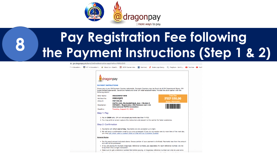

## **Pay Registration Fee following the Payment Instructions (Step 1 & 2)**

■ qw.dragonpay.ph/Bank/GetEmailInstruction.aspx?refno=P6R5JQV0

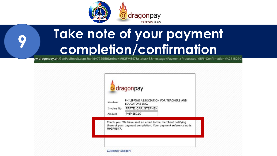

### **Take note of your payment completion/confirmation 9**

gw.dragonpay.ph/GenPayResult.aspx?txnid=772959&refno=M93FM547&status=S&message=Payment+Processed.+BPI+Confirmation+%2316290;

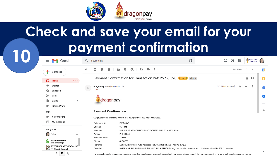

### **Check and save your email for your payment confirmation 10**

|             | Gmail<br>$\equiv$                                                                | Q<br>Search mail                                                                    |                                                                                                                                                                                    | 굝 | $^{\circ}$<br>ලා<br>$\ddot{\ddot{\ } \ddot{\ddot{\ } \ddot{\ddot{\ } \ddot{\ }}}$ | <b>SAINT LOUIS</b><br><b>UNIVERSITY</b> | O             |  |  |  |  |
|-------------|----------------------------------------------------------------------------------|-------------------------------------------------------------------------------------|------------------------------------------------------------------------------------------------------------------------------------------------------------------------------------|---|-----------------------------------------------------------------------------------|-----------------------------------------|---------------|--|--|--|--|
|             | Compose<br>÷.                                                                    | $\leftarrow$<br>Π<br>Ø<br>o                                                         | Ø<br>D                                                                                                                                                                             |   | 8 of 9,344                                                                        |                                         | $\boxed{31}$  |  |  |  |  |
|             | α<br><b>Inbox</b><br>1,465                                                       |                                                                                     | Payment Confirmation for Transaction Ref: P6R5JQV0 External Inbox x                                                                                                                |   |                                                                                   | $\ddot{\mathbf{e}}$<br>Ø                | O             |  |  |  |  |
|             | Starred<br>★                                                                     | Dragonpay <help@dragonpay.ph><br/>÷<br/>to me <math>\sim</math></help@dragonpay.ph> |                                                                                                                                                                                    |   | 2:57 PM (1 hour ago)<br>☆                                                         | ຣ                                       | $\bullet$     |  |  |  |  |
|             | O<br>Snoozed<br>⋗<br>Sent                                                        |                                                                                     |                                                                                                                                                                                    |   |                                                                                   |                                         | Θ             |  |  |  |  |
|             | <b>Drafts</b><br>3<br>[Imap]/Drafts                                              | dragonpay                                                                           |                                                                                                                                                                                    |   |                                                                                   |                                         |               |  |  |  |  |
|             | Meet                                                                             | <b>Payment Confirmation</b>                                                         |                                                                                                                                                                                    |   |                                                                                   |                                         | $^{+}$        |  |  |  |  |
| New meeting |                                                                                  | Congratulations! This is to confirm that your payment has been completed.           |                                                                                                                                                                                    |   |                                                                                   |                                         |               |  |  |  |  |
|             | п<br>My meetings                                                                 | Reference No                                                                        | P6R5JQV0                                                                                                                                                                           |   |                                                                                   |                                         |               |  |  |  |  |
|             | Hangouts                                                                         | Channel<br>Merchant                                                                 | SM Retail<br>PHILIPPINE ASSOCIATION FOR TEACHERS AND EDUCATORS INC.                                                                                                                |   |                                                                                   |                                         |               |  |  |  |  |
|             | $\parallel$ Felina $\sim$<br>$\mathbb{Z}$<br>$\,+\,$                             | Amount<br>Merchant Txnld                                                            | PHP 550.00<br>773155                                                                                                                                                               |   |                                                                                   |                                         |               |  |  |  |  |
|             | <b>Rizzanel Galicia</b><br>Sent a message                                        | Status<br>Remarks                                                                   | <b>SUCCESS</b><br>[000] SMR Payment Auto Validated on 8/16/2021 2:57:35 PM #P6R5JQV0                                                                                               |   |                                                                                   |                                         |               |  |  |  |  |
|             | <b>OO</b> PSYCH DEPARTMENTAL MT<br>$\bullet$ 19<br><b>Missed video call</b><br>٠ | Description                                                                         | PAFTE_CAR_FELINAESPIQUE_SLU / FELINA P. ESPIQUE / Registration 10th National and 11th International PAFTE Convention                                                               |   |                                                                                   |                                         | $\rightarrow$ |  |  |  |  |
|             | Φ<br>-                                                                           |                                                                                     | For product-specific inquiries or questions regarding the status or shipment schedule of your order, please contact the merchant directly. For payment-specific inquiries, you may |   |                                                                                   |                                         |               |  |  |  |  |